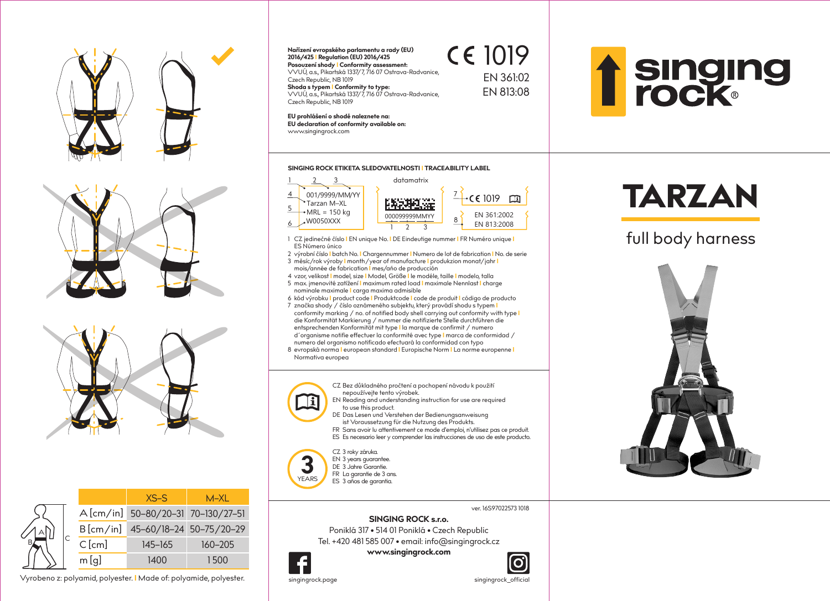







**Posouzení shody I Conformity assessment: Nařízení evropského parlamentu a rady (EU) 2016/425 I Regulation (EU) 2016/425** VVUÚ, a.s., Pikartská 1337/7, 716 07 Ostrava-Radvanice, Czech Republic, NB 1019 **Shoda s typem I Conformity to type:** VVUÚ, a.s., Pikartská 1337/7, 716 07 Ostrava-Radvanice,

1019 EN 361:02 EN 813:08



**EU prohlášení o shodě naleznete na:**  www.singingrock.com **EU declaration of conformity available on:**

Czech Republic, NB 1019

#### **SINGING ROCK ETIKETA SLEDOVATELNOSTI I TRACEABILITY LABEL**



- 1 CZ jedinečné číslo **I** EN unique No. **I** DE Eindeutige nummer **I** FR Numéro unique **I** ES Número único
- 2 výrobní číslo **I** batch No. **I** Chargennummer **I** Numero de lot de fabrication **I** No. de serie
- 3 měsíc/rok výroby **I** month/year of manufacture **I** produkzion monat/jahr **I**  mois/année de fabrication **I** mes/ańo de producción 4 vzor, velikost **I** model, size **I** Model, Größe **I** le modéle, taille **I** modelo, talla
- 5 max. jmenovité zatížení **I** maximum rated load **I** maximale Nennlast **I** charge
- nominale maximale **I** carga maxima admisible
- 6 kód výrobku **I** product code **I** Produktcode **I** code de produit **I** código de producto
- 7 značka shody / číslo oznámeného subjektu, který provádí shodu s typem **I** conformity marking / no. of notified body shell carrying out conformity with type **I** die Konformität Markierung / nummer die notifizierte Stelle durchführen die entsprechenden Konformität mit type **I** la marque de confirmit / numero d´organisme notifie effectuer la conformité avec type **I** marca de conformidad / numero del organismo notificado efectuará la conformidad con typo
- 8 evropská norma **I** european standard **I** Europische Norm **I** La norme europenne **I** Normativa europea

CZ Bez důkladného pročtení a pochopení návodu k použití nepoužívejte tento výrobek.

EN Reading and understanding instruction for use are required to use this product.



- DE Das Lesen und Verstehen der Bedienungsanweisung ist Voraussetzung für die Nutzung des Produkts.
- FR Sans avoir lu attentivement ce mode d'emploi, n'utilisez pas ce produit.
- ES Es necesario leer y comprender las instrucciones de uso de este producto.

### CZ 3 roky záruka.



DE 3 Jahre Garantie.









### **SINGING ROCK s.r.o.**

Poniklá 317 • 514 01 Poniklá • Czech Republic Tel. +420 481 585 007 • email: info@singingrock.cz

### **www.singingrock.com**



**3**YEARS



# TARZAN

## full body harness



singingrock.page singingrock\_official